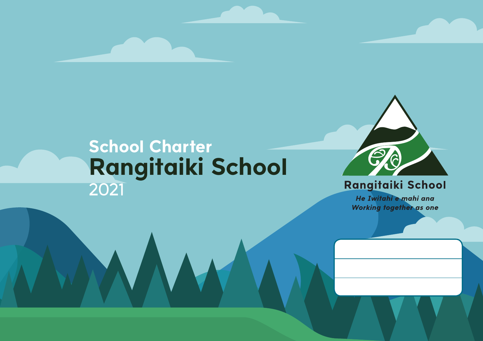## **School Charter Rangitaiki School** 2021



### Rangitaiki School

He Iwitahi e mahi ana Working together as one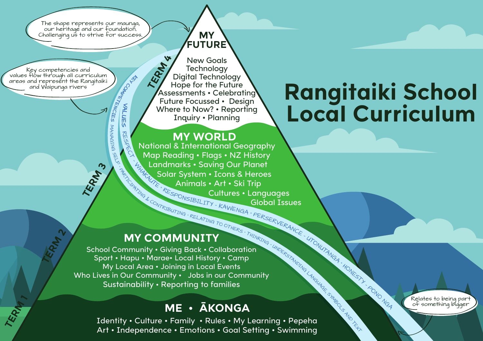The shape represents our maunga, our heritage and our foundation. Challenging us to strive for success.

**TERM 3**

**KEY COMPETENCIES VALU E**

**WLUES** 

RESPECT

**MANAGING** 

SELF

Key competencies and values flow through all curriculum areas and represent the Rangitaiki and Waipunga rivers

**TERM 2** 

TERM 1

#### **MY FUTURE**

New Goals **Technology** Digital Technology Hope for the Future Assessments • Celebrating Future Focussed • Design Where to Now? • Reporting Inquiry • Planning **TERM 4**

**MY WORLD**<br>National & International Geography **PARTICIPATION SOLUT SYSTEMS HARKAUTE** RESPONSIBILITY - KAWENGA. National & International Geography Map Reading • Flags • NZ History Landmarks • Saving Our Planet Solar System • Icons & Heroes Animals • Art • Ski Trip Cultures • Languages Global Issues

**RELATING TO OTHERS** 

<sup>T</sup>HINKIN<sup>G</sup> °

**PERSERVERANCE** 

<sup>U</sup>TONUTANG<sup>A</sup> °

**HONESTY** 

– <sup>P</sup>ON<sup>O</sup> <sup>N</sup>G<sup>A</sup>

### **MY COMMUNITY**

School Community • Giving Back • Collaboration Sport • Hapu • Marae• Local History • Camp My Local Area • Joining in Local Events Who Lives in Our Community • Jobs in our Community Sustainability • Reporting to families

### **ME • ĀKONGA**

Identity • Culture • Family • Rules • My Learning • Pepeha Art • Independence • Emotions • Goal Setting • Swimming UNDERSTANDING LANGUAGE, SYMBOLS AND TEXT

# **Rangitaiki School Local Curriculum**

Relates to being part of something bigger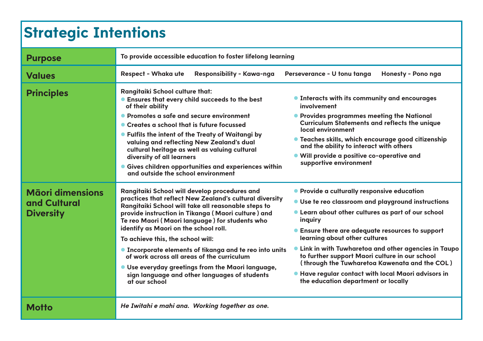### **Strategic Intentions**

| <b>Purpose</b>                                              | To provide accessible education to foster lifelong learning                                                                                                                                                                                                                                                                                                                                                                                                                                                                                                                                  |                                                                                                                                                                                                                                                                                                                                                                                                                                                                                                                          |  |  |  |  |  |
|-------------------------------------------------------------|----------------------------------------------------------------------------------------------------------------------------------------------------------------------------------------------------------------------------------------------------------------------------------------------------------------------------------------------------------------------------------------------------------------------------------------------------------------------------------------------------------------------------------------------------------------------------------------------|--------------------------------------------------------------------------------------------------------------------------------------------------------------------------------------------------------------------------------------------------------------------------------------------------------------------------------------------------------------------------------------------------------------------------------------------------------------------------------------------------------------------------|--|--|--|--|--|
| <b>Values</b>                                               | <b>Respect - Whaka ute</b><br>Responsibility - Kawa-nga                                                                                                                                                                                                                                                                                                                                                                                                                                                                                                                                      | Honesty - Pono nga<br>Perseverance - U tonu tanga                                                                                                                                                                                                                                                                                                                                                                                                                                                                        |  |  |  |  |  |
| <b>Principles</b>                                           | <b>Rangitaiki School culture that:</b><br><b>Ensures that every child succeeds to the best</b><br>of their ability<br>• Promotes a safe and secure environment<br>• Creates a school that is future focussed<br>• Fulfils the intent of the Treaty of Waitangi by<br>valuing and reflecting New Zealand's dual<br>cultural heritage as well as valuing cultural<br>diversity of all learners<br><b>.</b> Gives children opportunities and experiences within<br>and outside the school environment                                                                                           | • Interacts with its community and encourages<br>involvement<br>• Provides programmes meeting the National<br><b>Curriculum Statements and reflects the unique</b><br>local environment<br>• Teaches skills, which encourage good citizenship<br>and the ability to interact with others<br>. Will provide a positive co-operative and<br>supportive environment                                                                                                                                                         |  |  |  |  |  |
| <b>Māori dimensions</b><br>and Cultural<br><b>Diversity</b> | Rangitaiki School will develop procedures and<br>practices that reflect New Zealand's cultural diversity<br>Rangitaiki School will take all reasonable steps to<br>provide instruction in Tikanga (Maori culture) and<br>Te reo Maori (Maori language) for students who<br>identify as Maori on the school roll.<br>To achieve this, the school will:<br><b>.</b> Incorporate elements of tikanga and te reo into units<br>of work across all areas of the curriculum<br>• Use everyday greetings from the Maori language,<br>sign language and other languages of students<br>at our school | • Provide a culturally responsive education<br>• Use te reo classroom and playground instructions<br>• Learn about other cultures as part of our school<br>inquiry<br>• Ensure there are adequate resources to support<br>learning about other cultures<br>• Link in with Tuwharetoa and other agencies in Taupo<br>to further support Maori culture in our school<br>(through the Tuwharetoa Kawenata and the COL)<br><b>• Have regular contact with local Maori advisors in</b><br>the education department or locally |  |  |  |  |  |
| Motto                                                       | He Iwitahi e mahi ana. Working together as one.                                                                                                                                                                                                                                                                                                                                                                                                                                                                                                                                              |                                                                                                                                                                                                                                                                                                                                                                                                                                                                                                                          |  |  |  |  |  |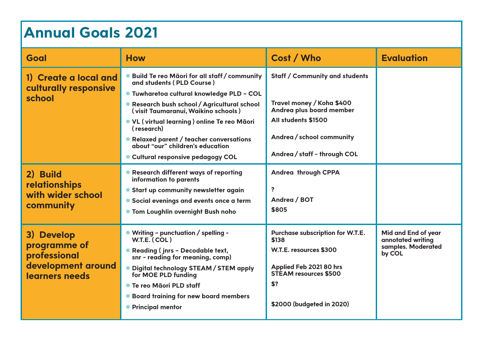### **Annual Goals 2021**

| Goal                                                                               | <b>How</b>                                                                                                                                                                                                                                                                                                               | Cost / Who                                                                                                                                                         | <b>Evaluation</b>                                                        |
|------------------------------------------------------------------------------------|--------------------------------------------------------------------------------------------------------------------------------------------------------------------------------------------------------------------------------------------------------------------------------------------------------------------------|--------------------------------------------------------------------------------------------------------------------------------------------------------------------|--------------------------------------------------------------------------|
| 1) Create a local and<br>culturally responsive<br>school                           | ● Build Te reo Māori for all staff / community<br>and students (PLD Course)<br>● Tuwharetoa cultural knowledge PLD - COL<br>• Research bush school / Agricultural school<br>(visit Taumaranui, Waikino schools)<br>. VL (virtual learning) online Te reo Māori<br>(research)<br>• Relaxed parent / teacher conversations | Staff / Community and students<br>Travel money / Koha \$400<br>Andrea plus board member<br>All students \$1500<br>Andrea/school community                          |                                                                          |
|                                                                                    | about "our" children's education<br>• Cultural responsive pedagogy COL                                                                                                                                                                                                                                                   | Andrea / staff - through COL                                                                                                                                       |                                                                          |
| 2) Build<br>relationships<br>with wider school<br>community                        | • Research different ways of reporting<br>information to parents<br>• Start up community newsletter again<br>• Social evenings and events once a term<br><b>• Tom Loughlin overnight Bush noho</b>                                                                                                                       | Andrea through CPPA<br>$\overline{\mathbf{?}}$<br>Andrea / BOT<br>\$805                                                                                            |                                                                          |
| 3) Develop<br>programme of<br>professional<br>development around<br>learners needs | • Writing - punctuation / spelling -<br>W.T.E. (COL)<br>• Reading (jnrs - Decodable text,<br>snr - reading for meaning, comp)<br>. Digital technology STEAM / STEM apply<br>for MOE PLD funding<br>● Te reo Māori PLD staff<br>• Board training for new board members<br>• Principal mentor                              | Purchase subscription for W.T.E.<br>\$138<br>W.T.E. resources \$300<br>Applied Feb 2021 80 hrs<br><b>STEAM resources \$500</b><br>\$?<br>\$2000 (budgeted in 2020) | Mid and End of year<br>annotated writing<br>samples. Moderated<br>by COL |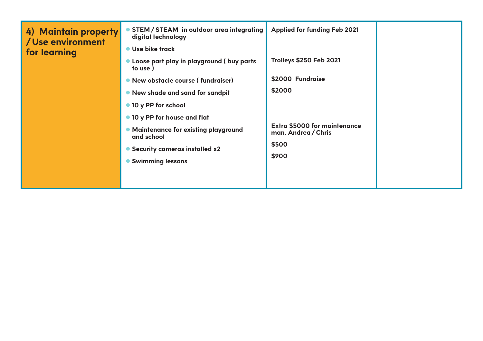| 4) Maintain property<br>/Use environment<br>for learning | STEM/STEAM in outdoor area integrating<br>digital technology<br>● Use bike track<br>• Loose part play in playground ( buy parts<br>to use)<br>• New obstacle course (fundraiser)<br>• New shade and sand for sandpit<br>• 10 y PP for school<br>• 10 y PP for house and flat<br>• Maintenance for existing playground<br>and school<br>• Security cameras installed x2<br>• Swimming lessons | <b>Applied for funding Feb 2021</b><br><b>Trolleys \$250 Feb 2021</b><br>\$2000 Fundraise<br>\$2000<br><b>Extra \$5000 for maintenance</b><br>man. Andrea / Chris<br>\$500<br>\$900 |  |
|----------------------------------------------------------|----------------------------------------------------------------------------------------------------------------------------------------------------------------------------------------------------------------------------------------------------------------------------------------------------------------------------------------------------------------------------------------------|-------------------------------------------------------------------------------------------------------------------------------------------------------------------------------------|--|
|                                                          |                                                                                                                                                                                                                                                                                                                                                                                              |                                                                                                                                                                                     |  |